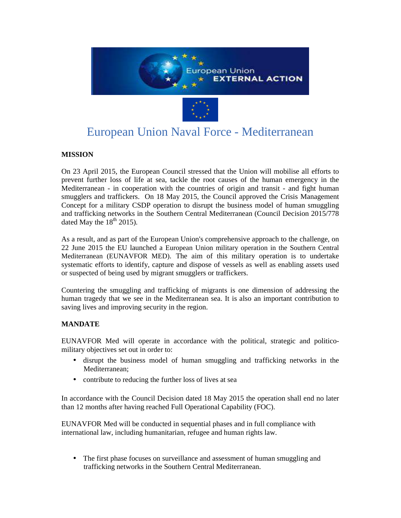

# European Union Naval Force - Mediterranean

### **MISSION**

On 23 April 2015, the European Council stressed that the Union will mobilise all efforts to prevent further loss of life at sea, tackle the root causes of the human emergency in the Mediterranean - in cooperation with the countries of origin and transit - and fight human smugglers and traffickers. On 18 May 2015, the Council approved the Crisis Management Concept for a military CSDP operation to disrupt the business model of human smuggling and trafficking networks in the Southern Central Mediterranean (Council Decision 2015/778 dated May the  $18<sup>th</sup> 2015$ ).

As a result, and as part of the European Union's comprehensive approach to the challenge, on 22 June 2015 the EU launched a European Union military operation in the Southern Central Mediterranean (EUNAVFOR MED). The aim of this military operation is to undertake systematic efforts to identify, capture and dispose of vessels as well as enabling assets used or suspected of being used by migrant smugglers or traffickers.

Countering the smuggling and trafficking of migrants is one dimension of addressing the human tragedy that we see in the Mediterranean sea. It is also an important contribution to saving lives and improving security in the region.

### **MANDATE**

EUNAVFOR Med will operate in accordance with the political, strategic and politicomilitary objectives set out in order to:

- disrupt the business model of human smuggling and trafficking networks in the Mediterranean;
- contribute to reducing the further loss of lives at sea

In accordance with the Council Decision dated 18 May 2015 the operation shall end no later than 12 months after having reached Full Operational Capability (FOC).

EUNAVFOR Med will be conducted in sequential phases and in full compliance with international law, including humanitarian, refugee and human rights law.

• The first phase focuses on surveillance and assessment of human smuggling and trafficking networks in the Southern Central Mediterranean.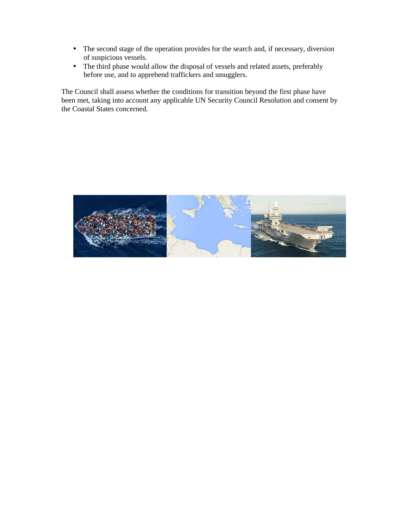- The second stage of the operation provides for the search and, if necessary, diversion of suspicious vessels.
- The third phase would allow the disposal of vessels and related assets, preferably before use, and to apprehend traffickers and smugglers.

The Council shall assess whether the conditions for transition beyond the first phase have been met, taking into account any applicable UN Security Council Resolution and consent by the Coastal States concerned.

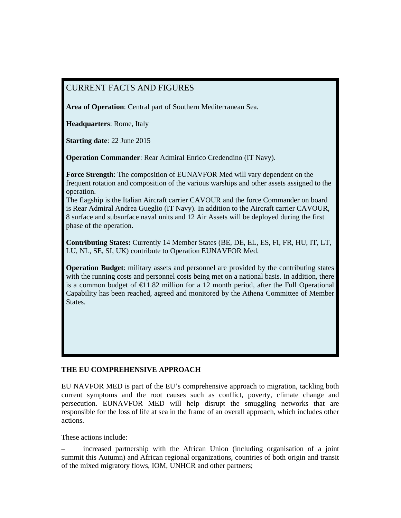## CURRENT FACTS AND FIGURES

**Area of Operation**: Central part of Southern Mediterranean Sea.

**Headquarters**: Rome, Italy

**Starting date**: 22 June 2015

**Operation Commander**: Rear Admiral Enrico Credendino (IT Navy).

**Force Strength**: The composition of EUNAVFOR Med will vary dependent on the frequent rotation and composition of the various warships and other assets assigned to the operation.

The flagship is the Italian Aircraft carrier CAVOUR and the force Commander on board is Rear Admiral Andrea Gueglio (IT Navy). In addition to the Aircraft carrier CAVOUR, 8 surface and subsurface naval units and 12 Air Assets will be deployed during the first phase of the operation.

**Contributing States:** Currently 14 Member States (BE, DE, EL, ES, FI, FR, HU, IT, LT, LU, NL, SE, SI, UK) contribute to Operation EUNAVFOR Med.

**Operation Budget:** military assets and personnel are provided by the contributing states with the running costs and personnel costs being met on a national basis. In addition, there is a common budget of  $\bigoplus$  1.82 million for a 12 month period, after the Full Operational Capability has been reached, agreed and monitored by the Athena Committee of Member States.

### **THE EU COMPREHENSIVE APPROACH**

EU NAVFOR MED is part of the EU's comprehensive approach to migration, tackling both current symptoms and the root causes such as conflict, poverty, climate change and persecution. EUNAVFOR MED will help disrupt the smuggling networks that are responsible for the loss of life at sea in the frame of an overall approach, which includes other actions.

These actions include:

– increased partnership with the African Union (including organisation of a joint summit this Autumn) and African regional organizations, countries of both origin and transit of the mixed migratory flows, IOM, UNHCR and other partners;